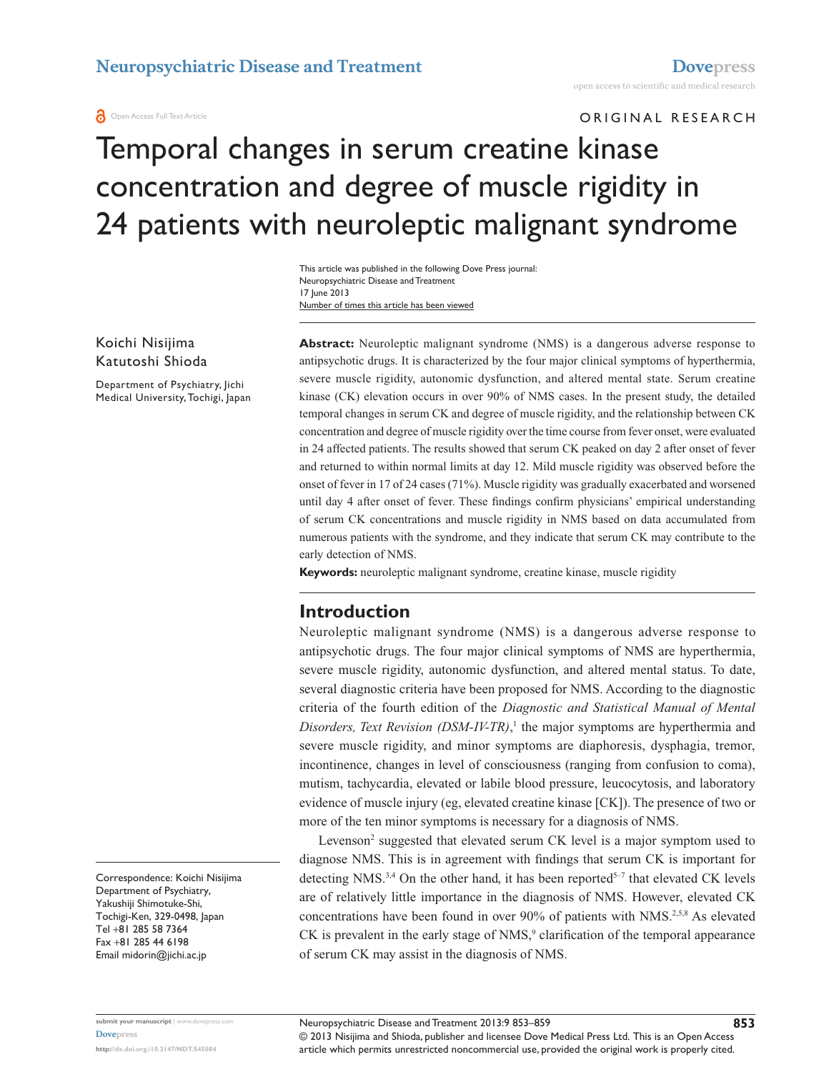**O** Open Access Full Text Article

ORIGINAL RESEARCH

# Temporal changes in serum creatine kinase concentration and degree of muscle rigidity in 24 patients with neuroleptic malignant syndrome

Number of times this article has been viewed This article was published in the following Dove Press journal: Neuropsychiatric Disease and Treatment 17 June 2013

Koichi Nisijima Katutoshi Shioda

Department of Psychiatry, Jichi Medical University, Tochigi, Japan **Abstract:** Neuroleptic malignant syndrome (NMS) is a dangerous adverse response to antipsychotic drugs. It is characterized by the four major clinical symptoms of hyperthermia, severe muscle rigidity, autonomic dysfunction, and altered mental state. Serum creatine kinase (CK) elevation occurs in over 90% of NMS cases. In the present study, the detailed temporal changes in serum CK and degree of muscle rigidity, and the relationship between CK concentration and degree of muscle rigidity over the time course from fever onset, were evaluated in 24 affected patients. The results showed that serum CK peaked on day 2 after onset of fever and returned to within normal limits at day 12. Mild muscle rigidity was observed before the onset of fever in 17 of 24 cases (71%). Muscle rigidity was gradually exacerbated and worsened until day 4 after onset of fever. These findings confirm physicians' empirical understanding of serum CK concentrations and muscle rigidity in NMS based on data accumulated from numerous patients with the syndrome, and they indicate that serum CK may contribute to the early detection of NMS.

**Keywords:** neuroleptic malignant syndrome, creatine kinase, muscle rigidity

### **Introduction**

Neuroleptic malignant syndrome (NMS) is a dangerous adverse response to antipsychotic drugs. The four major clinical symptoms of NMS are hyperthermia, severe muscle rigidity, autonomic dysfunction, and altered mental status. To date, several diagnostic criteria have been proposed for NMS. According to the diagnostic criteria of the fourth edition of the *Diagnostic and Statistical Manual of Mental Disorders, Text Revision (DSM-IV-TR)*, 1 the major symptoms are hyperthermia and severe muscle rigidity, and minor symptoms are diaphoresis, dysphagia, tremor, incontinence, changes in level of consciousness (ranging from confusion to coma), mutism, tachycardia, elevated or labile blood pressure, leucocytosis, and laboratory evidence of muscle injury (eg, elevated creatine kinase [CK]). The presence of two or more of the ten minor symptoms is necessary for a diagnosis of NMS.

Levenson<sup>2</sup> suggested that elevated serum CK level is a major symptom used to diagnose NMS. This is in agreement with findings that serum CK is important for detecting NMS.<sup>3,4</sup> On the other hand, it has been reported<sup>5-7</sup> that elevated CK levels are of relatively little importance in the diagnosis of NMS. However, elevated CK concentrations have been found in over 90% of patients with NMS.<sup>2,5,8</sup> As elevated  $CK$  is prevalent in the early stage of  $NMS$ , clarification of the temporal appearance of serum CK may assist in the diagnosis of NMS.

Correspondence: Koichi Nisijima Department of Psychiatry, Yakushiji Shimotuke-Shi, Tochigi-Ken, 329-0498, Japan Tel +81 285 58 7364 Fax +81 285 44 6198 Email [midorin@jichi.ac.jp](mailto:midorin@jichi.ac.jp)

**[Dovepress](www.dovepress.com)**

**submit your manuscript** | <www.dovepress.com>

© 2013 Nisijima and Shioda, publisher and licensee Dove Medical Press Ltd. This is an Open Access article which permits unrestricted noncommercial use, provided the original work is properly cited.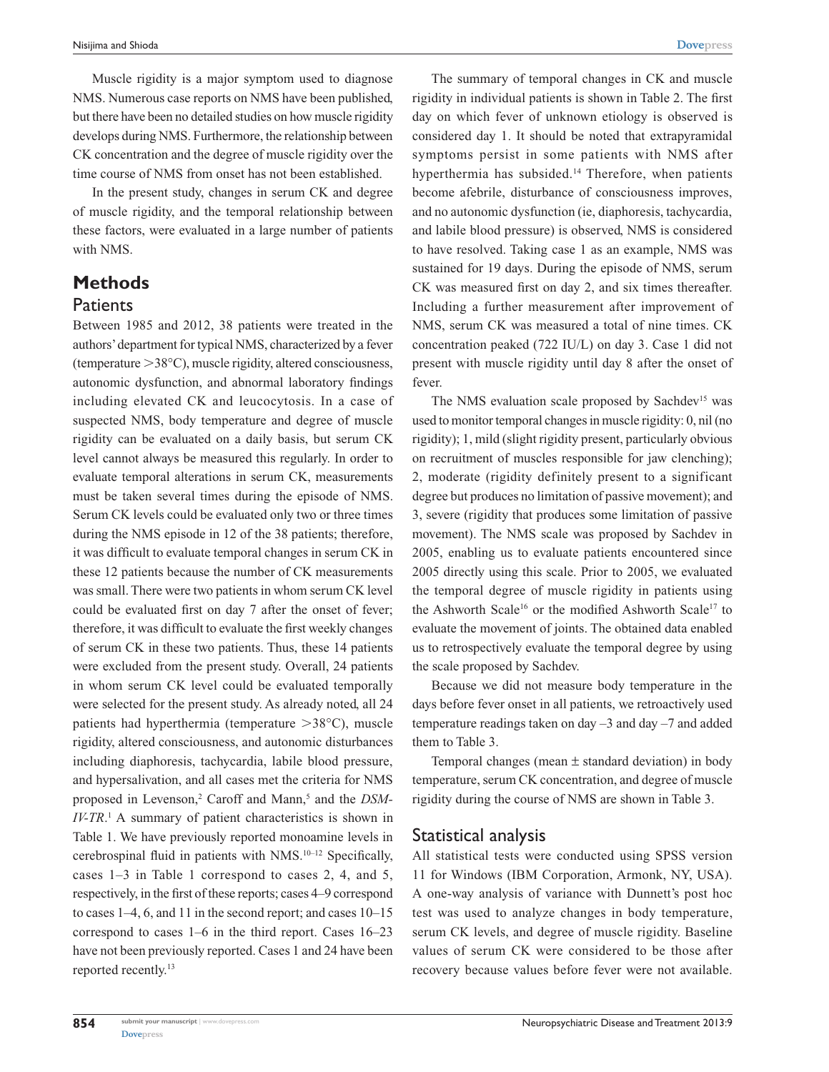Muscle rigidity is a major symptom used to diagnose NMS. Numerous case reports on NMS have been published, but there have been no detailed studies on how muscle rigidity develops during NMS. Furthermore, the relationship between CK concentration and the degree of muscle rigidity over the time course of NMS from onset has not been established.

In the present study, changes in serum CK and degree of muscle rigidity, and the temporal relationship between these factors, were evaluated in a large number of patients with NMS.

### **Methods Patients**

Between 1985 and 2012, 38 patients were treated in the authors' department for typical NMS, characterized by a fever (temperature  $>38^{\circ}$ C), muscle rigidity, altered consciousness, autonomic dysfunction, and abnormal laboratory findings including elevated CK and leucocytosis. In a case of suspected NMS, body temperature and degree of muscle rigidity can be evaluated on a daily basis, but serum CK level cannot always be measured this regularly. In order to evaluate temporal alterations in serum CK, measurements must be taken several times during the episode of NMS. Serum CK levels could be evaluated only two or three times during the NMS episode in 12 of the 38 patients; therefore, it was difficult to evaluate temporal changes in serum CK in these 12 patients because the number of CK measurements was small. There were two patients in whom serum CK level could be evaluated first on day 7 after the onset of fever; therefore, it was difficult to evaluate the first weekly changes of serum CK in these two patients. Thus, these 14 patients were excluded from the present study. Overall, 24 patients in whom serum CK level could be evaluated temporally were selected for the present study. As already noted, all 24 patients had hyperthermia (temperature  $>38^{\circ}$ C), muscle rigidity, altered consciousness, and autonomic disturbances including diaphoresis, tachycardia, labile blood pressure, and hypersalivation, and all cases met the criteria for NMS proposed in Levenson,<sup>2</sup> Caroff and Mann,<sup>5</sup> and the *DSM*-*IV-TR*.<sup>1</sup> A summary of patient characteristics is shown in Table 1. We have previously reported monoamine levels in cerebrospinal fluid in patients with NMS.10–12 Specifically, cases 1–3 in Table 1 correspond to cases 2, 4, and 5, respectively, in the first of these reports; cases 4–9 correspond to cases 1–4, 6, and 11 in the second report; and cases 10–15 correspond to cases 1–6 in the third report. Cases 16–23 have not been previously reported. Cases 1 and 24 have been reported recently.13

The summary of temporal changes in CK and muscle rigidity in individual patients is shown in Table 2. The first day on which fever of unknown etiology is observed is considered day 1. It should be noted that extrapyramidal symptoms persist in some patients with NMS after hyperthermia has subsided.<sup>14</sup> Therefore, when patients become afebrile, disturbance of consciousness improves, and no autonomic dysfunction (ie, diaphoresis, tachycardia, and labile blood pressure) is observed, NMS is considered to have resolved. Taking case 1 as an example, NMS was sustained for 19 days. During the episode of NMS, serum CK was measured first on day 2, and six times thereafter. Including a further measurement after improvement of NMS, serum CK was measured a total of nine times. CK concentration peaked (722 IU/L) on day 3. Case 1 did not present with muscle rigidity until day 8 after the onset of fever.

The NMS evaluation scale proposed by Sachdev<sup>15</sup> was used to monitor temporal changes in muscle rigidity: 0, nil (no rigidity); 1, mild (slight rigidity present, particularly obvious on recruitment of muscles responsible for jaw clenching); 2, moderate (rigidity definitely present to a significant degree but produces no limitation of passive movement); and 3, severe (rigidity that produces some limitation of passive movement). The NMS scale was proposed by Sachdev in 2005, enabling us to evaluate patients encountered since 2005 directly using this scale. Prior to 2005, we evaluated the temporal degree of muscle rigidity in patients using the Ashworth Scale<sup>16</sup> or the modified Ashworth Scale<sup>17</sup> to evaluate the movement of joints. The obtained data enabled us to retrospectively evaluate the temporal degree by using the scale proposed by Sachdev.

Because we did not measure body temperature in the days before fever onset in all patients, we retroactively used temperature readings taken on day –3 and day –7 and added them to Table 3.

Temporal changes (mean  $\pm$  standard deviation) in body temperature, serum CK concentration, and degree of muscle rigidity during the course of NMS are shown in Table 3.

### Statistical analysis

All statistical tests were conducted using SPSS version 11 for Windows (IBM Corporation, Armonk, NY, USA). A one-way analysis of variance with Dunnett's post hoc test was used to analyze changes in body temperature, serum CK levels, and degree of muscle rigidity. Baseline values of serum CK were considered to be those after recovery because values before fever were not available.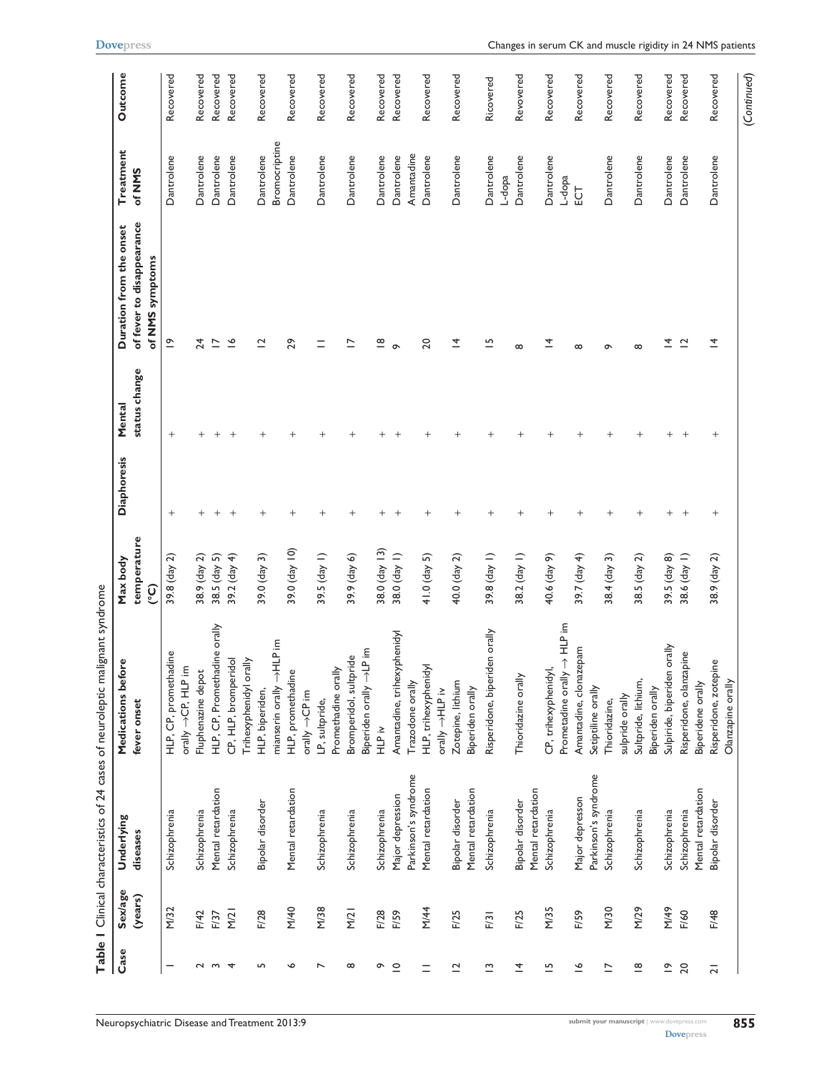| Case                                                                    | <b>Sex/age</b> | <b>Underlying</b>    | <b>Medications before</b>              | Max body               | <b>Diaphoresis</b> | Mental        | Duration from the onset   | Treatment            | Outcome   |
|-------------------------------------------------------------------------|----------------|----------------------|----------------------------------------|------------------------|--------------------|---------------|---------------------------|----------------------|-----------|
|                                                                         | (years)        | diseases             | fever onset                            | temperature            |                    | status change | of fever to disappearance | of NMS               |           |
|                                                                         |                |                      |                                        | <u>ု့</u>              |                    |               | of NMS symptoms           |                      |           |
| —                                                                       | M/32           | Schizophrenia        | HLP, CP, promethadine                  | 39.8 (day 2)           | $^{+}$             | $^{+}$        | $\tilde{=}$               | Dantrolene           | Recovered |
|                                                                         |                |                      | orally →CP, HLP im                     |                        |                    |               |                           |                      |           |
|                                                                         | F/42           | Schizophrenia        | Fluphenazine depot                     | 38.9 (day 2)           | $^{+}$             | $^+$          | 24                        | Dantrolene           | Recovered |
| 2<br>2<br>3<br>3<br>3<br>3<br>3<br>3<br>3<br>3<br>3<br>3<br>3<br>3<br>3 | F/37           | Mental retardation   | HLP, CP, Promethadine orally           | 38.5 (day 5)           | $^{+}$             | $^{+}$        | $\overline{\phantom{0}}$  | Dantrolene           | Recovered |
|                                                                         | M/21           | Schizophrenia        | CP, HLP, bromperidol                   | 39.2 $\frac{day 4}{ }$ | $^{+}$             | $^{+}$        | $\tilde{=}$               | Dantrolene           | Recovered |
|                                                                         |                |                      | Trihexyphenidyl orally                 |                        |                    |               |                           |                      |           |
| LO.                                                                     | F/28           | Bipolar disorder     | HLP, biperiden,                        | $39.0$ (day 3)         | $^{+}$             | $^{+}$        | $\overline{a}$            | Dantrolene           | Recovered |
|                                                                         |                |                      | mianserin orally →HLP im               |                        |                    |               |                           | Bromocriptine        |           |
| $\bullet$                                                               | M/40           | Mental retardation   | HLP, promethadine                      | 39.0 (day 10)          | $^+$               | $^{+}$        | 29                        | Dantrolene           | Recovered |
|                                                                         |                |                      | orally ->CP im                         |                        |                    |               |                           |                      |           |
| $\overline{ }$                                                          | M/38           | Schizophrenia        | LP, sultpride,                         | 39.5 (day 1)           | $^+$               | $^{+}$        | $\equiv$                  | Dantrolene           | Recovered |
|                                                                         |                |                      | Promethadine orally                    |                        |                    |               |                           |                      |           |
| $\infty$                                                                | M/21           | Schizophrenia        | Bromperidol, sultpride                 | 39.9 (day 6)           | $^{+}$             | $^{+}$        | $\overline{\phantom{0}}$  | Dantrolene           | Recovered |
|                                                                         |                |                      | Biperiden orally ->LP im               |                        |                    |               |                           |                      |           |
| ò                                                                       | F/28           | Schizophrenia        | i<br>HLP iv                            | 38.0 (day 13)          | $^{+}$             | $^+$          | $\overset{\infty}{=}$     | Dantrolene           | Recovered |
| $\supseteq$                                                             | F/59           | Major depression     | Amantadine, trihexyphenidyl            | 38.0 (day 1)           | $^{+}$             | $^{+}$        | $\sigma$                  | Dantrolene           | Recovered |
|                                                                         |                | Parkinson's syndrome | Trazodone orally                       |                        |                    |               |                           | Amantadine           |           |
| $\equiv$                                                                | M/44           | Mental retardation   | HLP, trihexyphenidyl<br>orally →HLP iv | $41.0$ (day 5)         | $^{+}$             | $^{+}$        | 20                        | Dantrolene           | Recovered |
| $\overline{C}$                                                          | F/25           | Bipolar disorder     | Zotepine, lithium                      | 40.0 (day 2)           | $^{+}$             | $^+$          | ᅼ                         | Dantrolene           | Recovered |
|                                                                         |                | Mental retardation   | Biperiden orally                       |                        |                    |               |                           |                      |           |
| $\tilde{\phantom{a}}$                                                   | F/31           | Schizophrenia        | Risperidone, biperiden orally          | 39.8 (day 1)           | $^{+}$             | $^{+}$        | $\overline{5}$            | Dantrolene           | Ricovered |
| $\overline{4}$                                                          | F/25           | Bipolar disorder     | Thioridazine orally                    | 38.2 (day 1)           | $^{+}$             | $^{+}$        | $\infty$                  | Dantrolene<br>L-dopa | Revovered |
|                                                                         |                | Mental retardation   |                                        |                        |                    |               |                           |                      |           |
| $\overline{\phantom{a}}$                                                | M/35           | Schizophrenia        | CP, trihexyphenidyl,                   | 40.6 (day 9)           | $^{+}$             | $^{+}$        | 호                         | Dantrolene           | Recovered |
|                                                                         |                |                      | $\frac{1}{2}$<br>Prometadine orally    |                        |                    |               |                           | L-dopa               |           |
| $\tilde{=}$                                                             | F/59           | Major depresson      | Amantadine, clonazepam                 | 39.7 (day 4)           | $^{+}$             | $^{+}$        | $\infty$                  | ĒС                   | Recovered |
|                                                                         |                | Parkinson's syndrome | Setiptiline orally                     |                        |                    |               |                           |                      |           |
| $\overline{\phantom{0}}$                                                | M/30           | Schizophrenia        | Thioridazine,                          | $38.4$ (day 3)         | $^{+}$             | $^{+}$        | ᡡ                         | Dantrolene           | Recovered |
|                                                                         |                |                      | sulpride orally                        |                        |                    |               |                           |                      |           |
| $\overset{\infty}{=}$                                                   | M/29           | Schizophrenia        | Sultpride, lithium,                    | 38.5 (day 2)           | $^{+}$             | $^{+}$        | $\infty$                  | Dantrolene           | Recovered |
|                                                                         |                |                      | Biperiden orally                       |                        |                    |               |                           |                      |           |
| $\tilde{=}$                                                             | M/49           | Schizophrenia        | orally<br>Sulpiride, biperiden         | 39.5 $\frac{day}{8}$   | $^{+}$             | $^{+}$        | ᅕ                         | Dantrolene           | Recovered |
| 20                                                                      | F/60           | Schizophrenia        | pine<br>Risperidone, olanzap           | 38.6 (day 1)           | $^{+}$             | $^{+}$        | $\tilde{c}$               | Dantrolene           | Recovered |
|                                                                         |                | Mental retardation   | Biperidene orally                      |                        |                    |               |                           |                      |           |
| $\overline{2}$                                                          | F/48           | Bipolar disorder     | Risperidone, zotepine                  | 38.9 (day 2)           | $^{+}$             | $^{+}$        | <u> 국</u>                 | Dantrolene           | Recovered |
|                                                                         |                |                      | Olanzapine orally                      |                        |                    |               |                           |                      |           |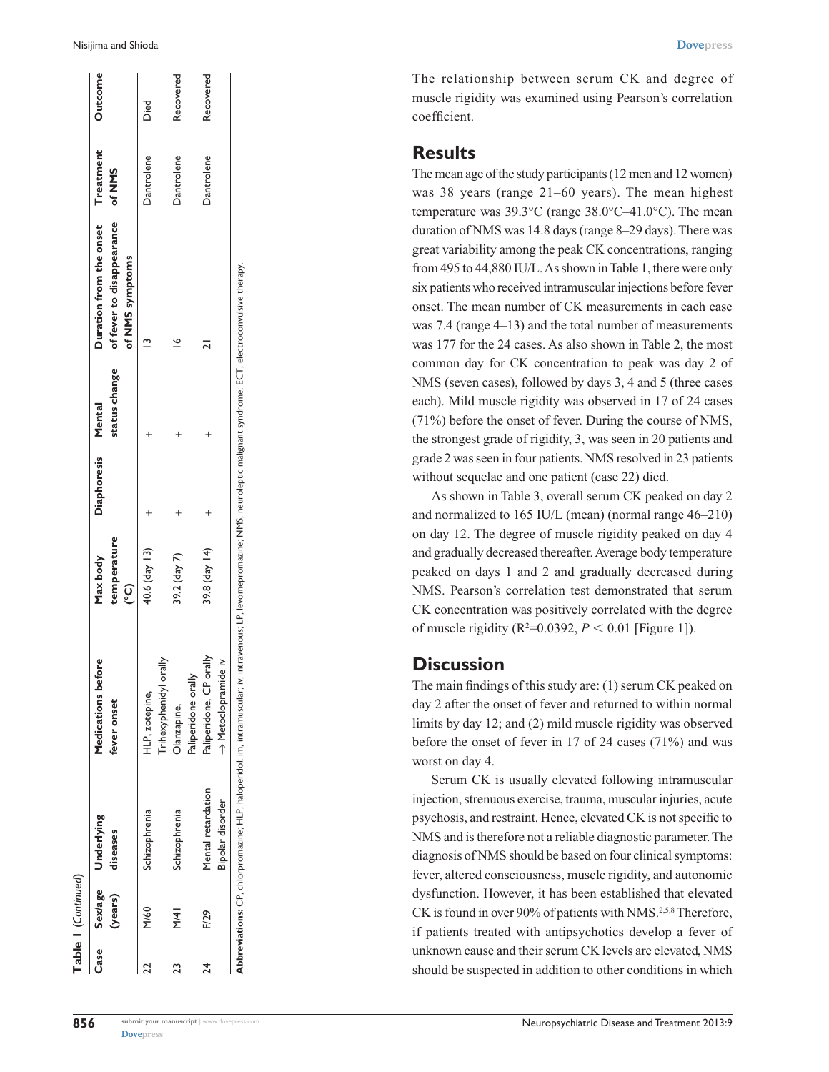| <b>Case</b> | (years)       | Sex/age Underlying<br>diseases         | Medications before<br>fever onset                                                                                                                                                  | temperature<br>Max body<br>ၟ | <b>Diaphoresis</b> | status change<br>Mental | Duration from the onset Treatment<br>of fever to disappearance<br>of NMS symptoms | of NMS     | <b>Outcome</b> |
|-------------|---------------|----------------------------------------|------------------------------------------------------------------------------------------------------------------------------------------------------------------------------------|------------------------------|--------------------|-------------------------|-----------------------------------------------------------------------------------|------------|----------------|
|             | M/60          | Schizophrenia                          | Trihexyphenidyl orally<br>HLP, zotepine,                                                                                                                                           | 40.6 (day 13)                |                    |                         |                                                                                   | Dantrolene | Died           |
| 23          | $\frac{1}{2}$ | Schizophrenia                          | Paliperidone orally<br>Olanzapine,                                                                                                                                                 | 39.2 (day 7)                 |                    |                         |                                                                                   | Dantrolene | Recovered      |
| 24          | F/29          | Mental retardation<br>Bipolar disorder | Paliperidone, CP orally<br>.≥<br>Aetoclopramide                                                                                                                                    | 39.8 (day 14)                |                    |                         |                                                                                   | Dantrolene | Recovered      |
|             |               |                                        | Abbreviations: CP, chlorpromazine; HLP, haloperidol; im, intramuscular; iv, intravenous; LP, levomepromazine; NMS, neuroleptic malignant syndrome; ECT, electroconvulsive therapy. |                              |                    |                         |                                                                                   |            |                |

The relationship between serum CK and degree of muscle rigidity was examined using Pearson's correlation coefficient.

### **Results**

The mean age of the study participants (12 men and 12 women) was 38 years (range 21–60 years). The mean highest temperature was 39.3 °C (range 38.0 °C–41.0 °C). The mean duration of NMS was 14.8 days (range 8–29 days). There was great variability among the peak CK concentrations, ranging from 495 to 44,880 IU/L. As shown in Table 1, there were only six patients who received intramuscular injections before fever onset. The mean number of CK measurements in each case was 7.4 (range 4–13) and the total number of measurements was 177 for the 24 cases. As also shown in Table 2, the most common day for CK concentration to peak was day 2 of NMS (seven cases), followed by days 3, 4 and 5 (three cases each). Mild muscle rigidity was observed in 17 of 24 cases (71%) before the onset of fever. During the course of NMS, the strongest grade of rigidity, 3, was seen in 20 patients and grade 2 was seen in four patients. NMS resolved in 23 patients without sequelae and one patient (case 22) died.

As shown in Table 3, overall serum CK peaked on day 2 and normalized to 165 IU/L (mean) (normal range 46–210) on day 12. The degree of muscle rigidity peaked on day 4 and gradually decreased thereafter. Average body temperature peaked on days 1 and 2 and gradually decreased during NMS. Pearson's correlation test demonstrated that serum CK concentration was positively correlated with the degree of muscle rigidity ( $R^2 = 0.0392$ ,  $P < 0.01$  [Figure 1]).

### **Discussion**

The main findings of this study are: (1) serum CK peaked on day 2 after the onset of fever and returned to within normal limits by day 12; and (2) mild muscle rigidity was observed before the onset of fever in 17 of 24 cases (71%) and was worst on day 4.

Serum CK is usually elevated following intramuscular injection, strenuous exercise, trauma, muscular injuries, acute psychosis, and restraint. Hence, elevated CK is not specific to NMS and is therefore not a reliable diagnostic parameter. The diagnosis of NMS should be based on four clinical symptoms: fever, altered consciousness, muscle rigidity, and autonomic dysfunction. However, it has been established that elevated CK is found in over 90% of patients with NMS.<sup>2,5,8</sup> Therefore, if patients treated with antipsychotics develop a fever of unknown cause and their serum CK levels are elevated, NMS should be suspected in addition to other conditions in which

m

**Table 1** (*Continued*)

Table I (Continued)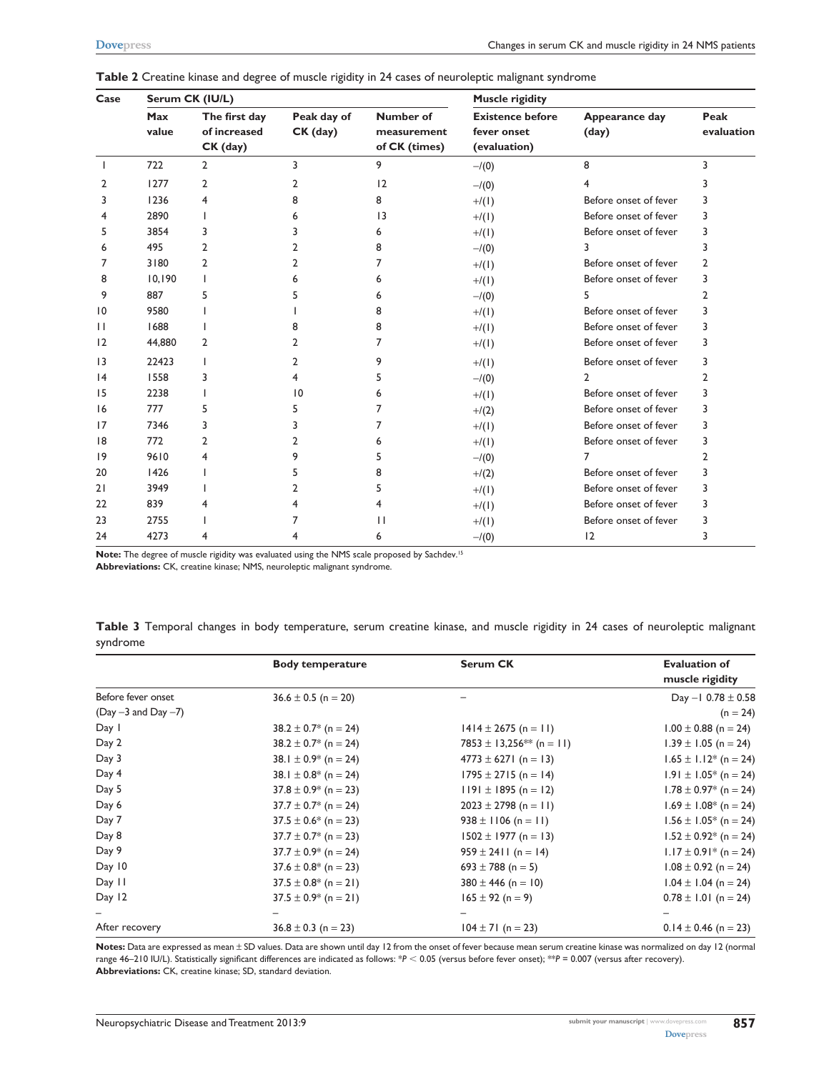| Case            |              | Serum CK (IU/L)                           |                           |                                           | <b>Muscle rigidity</b>                                 |                         |                    |
|-----------------|--------------|-------------------------------------------|---------------------------|-------------------------------------------|--------------------------------------------------------|-------------------------|--------------------|
|                 | Max<br>value | The first day<br>of increased<br>CK (day) | Peak day of<br>$CK$ (day) | Number of<br>measurement<br>of CK (times) | <b>Existence before</b><br>fever onset<br>(evaluation) | Appearance day<br>(day) | Peak<br>evaluation |
|                 | 722          | $\overline{2}$                            | 3                         | 9                                         | $-/(0)$                                                | 8                       | 3                  |
| 2               | 1277         | 2                                         |                           | 12                                        | $-/(0)$                                                |                         |                    |
| 3               | 1236         | 4                                         |                           | 8                                         | $+/(1)$                                                | Before onset of fever   | 3                  |
|                 | 2890         |                                           |                           | $\overline{13}$                           | $+/(1)$                                                | Before onset of fever   | 3                  |
| 5               | 3854         | 3                                         |                           | 6                                         | $+/(1)$                                                | Before onset of fever   | 3                  |
| 6               | 495          |                                           |                           | 8                                         | $-/(0)$                                                |                         | 3                  |
| 7               | 3180         | 2                                         |                           |                                           | $+/(1)$                                                | Before onset of fever   | 2                  |
| 8               | 10,190       |                                           |                           |                                           | $+/(1)$                                                | Before onset of fever   | 3                  |
| 9               | 887          |                                           |                           | 6                                         | $-/(0)$                                                |                         | 2                  |
| $\overline{10}$ | 9580         |                                           |                           | 8                                         | $+/(1)$                                                | Before onset of fever   | 3                  |
| $\mathbf{H}$    | 1688         |                                           |                           | 8                                         | $+/(1)$                                                | Before onset of fever   | 3                  |
| 12              | 44,880       | 2                                         |                           | 7                                         | $+/(1)$                                                | Before onset of fever   | 3                  |
| 3               | 22423        |                                           |                           |                                           | $+/(1)$                                                | Before onset of fever   | 3                  |
| 4               | 1558         | 3                                         |                           |                                           | $-1(0)$                                                | 2                       | 2                  |
| 15              | 2238         |                                           | 10                        | 6                                         | $+/(1)$                                                | Before onset of fever   | 3                  |
| 16              | 777          | 5                                         |                           |                                           | $+/(2)$                                                | Before onset of fever   | 3                  |
| 17              | 7346         |                                           |                           |                                           | $+/(1)$                                                | Before onset of fever   | 3                  |
| 8               | 772          | 2                                         |                           |                                           | $+/(1)$                                                | Before onset of fever   | 3                  |
| 9               | 9610         | 4                                         |                           |                                           | $-1(0)$                                                |                         | 2                  |
| 20              | 1426         |                                           |                           |                                           | $+/(2)$                                                | Before onset of fever   | 3                  |
| 21              | 3949         |                                           |                           |                                           | $+/(1)$                                                | Before onset of fever   | 3                  |
| 22              | 839          |                                           |                           |                                           | $+/(1)$                                                | Before onset of fever   | 3                  |
| 23              | 2755         |                                           |                           | Ш                                         | $+/(1)$                                                | Before onset of fever   | 3                  |
| 24              | 4273         | 4                                         |                           | 6                                         | $-/(0)$                                                | 12                      | 3                  |

|  |  | Table 2 Creatine kinase and degree of muscle rigidity in 24 cases of neuroleptic malignant syndrome |
|--|--|-----------------------------------------------------------------------------------------------------|
|--|--|-----------------------------------------------------------------------------------------------------|

Note: The degree of muscle rigidity was evaluated using the NMS scale proposed by Sachdev.<sup>15</sup>

**Abbreviations:** CK, creatine kinase; NMS, neuroleptic malignant syndrome.

**Table 3** Temporal changes in body temperature, serum creatine kinase, and muscle rigidity in 24 cases of neuroleptic malignant syndrome

|                         | <b>Body temperature</b>   | <b>Serum CK</b>                      | <b>Evaluation of</b><br>muscle rigidity |
|-------------------------|---------------------------|--------------------------------------|-----------------------------------------|
| Before fever onset      | $36.6 \pm 0.5$ (n = 20)   |                                      | Day $-1$ 0.78 $\pm$ 0.58                |
| $(Day -3$ and $Day -7)$ |                           |                                      | $(n = 24)$                              |
| Day I                   | $38.2 \pm 0.7^*$ (n = 24) | $1414 \pm 2675$ (n = 11)             | $1.00 \pm 0.88$ (n = 24)                |
| Day 2                   | $38.2 \pm 0.7^*$ (n = 24) | 7853 ± 13,256 <sup>**</sup> (n = 11) | $1.39 \pm 1.05$ (n = 24)                |
| Day 3                   | 38.1 $\pm$ 0.9* (n = 24)  | $4773 \pm 6271$ (n = 13)             | $1.65 \pm 1.12$ * (n = 24)              |
| Day 4                   | 38.1 $\pm$ 0.8* (n = 24)  | $1795 \pm 2715$ (n = 14)             | $1.91 \pm 1.05^*$ (n = 24)              |
| Day 5                   | $37.8 \pm 0.9^*$ (n = 23) | $1191 \pm 1895$ (n = 12)             | $1.78 \pm 0.97^*$ (n = 24)              |
| Day 6                   | $37.7 \pm 0.7^*$ (n = 24) | $2023 \pm 2798$ (n = 11)             | $1.69 \pm 1.08^*$ (n = 24)              |
| Day 7                   | $37.5 \pm 0.6^*$ (n = 23) | $938 \pm 1106$ (n = 11)              | $1.56 \pm 1.05^*$ (n = 24)              |
| Day 8                   | $37.7 \pm 0.7$ * (n = 23) | $1502 \pm 1977$ (n = 13)             | $1.52 \pm 0.92^*$ (n = 24)              |
| Day 9                   | $37.7 \pm 0.9^*$ (n = 24) | $959 \pm 2411$ (n = 14)              | $1.17 \pm 0.91^*$ (n = 24)              |
| Day 10                  | $37.6 \pm 0.8^*$ (n = 23) | 693 ± 788 (n = 5)                    | $1.08 \pm 0.92$ (n = 24)                |
| Day 11                  | $37.5 \pm 0.8^*$ (n = 21) | $380 \pm 446$ (n = 10)               | $1.04 \pm 1.04$ (n = 24)                |
| Day 12                  | $37.5 \pm 0.9^*$ (n = 21) | $165 \pm 92$ (n = 9)                 | $0.78 \pm 1.01$ (n = 24)                |
|                         |                           |                                      |                                         |
| After recovery          | $36.8 \pm 0.3$ (n = 23)   | $104 \pm 71$ (n = 23)                | $0.14 \pm 0.46$ (n = 23)                |

Notes: Data are expressed as mean ± SD values. Data are shown until day 12 from the onset of fever because mean serum creatine kinase was normalized on day 12 (normal range 46–210 IU/L). Statistically significant differences are indicated as follows: \**P* < 0.05 (versus before fever onset); \*\**P* = 0.007 (versus after recovery). **Abbreviations:** CK, creatine kinase; SD, standard deviation.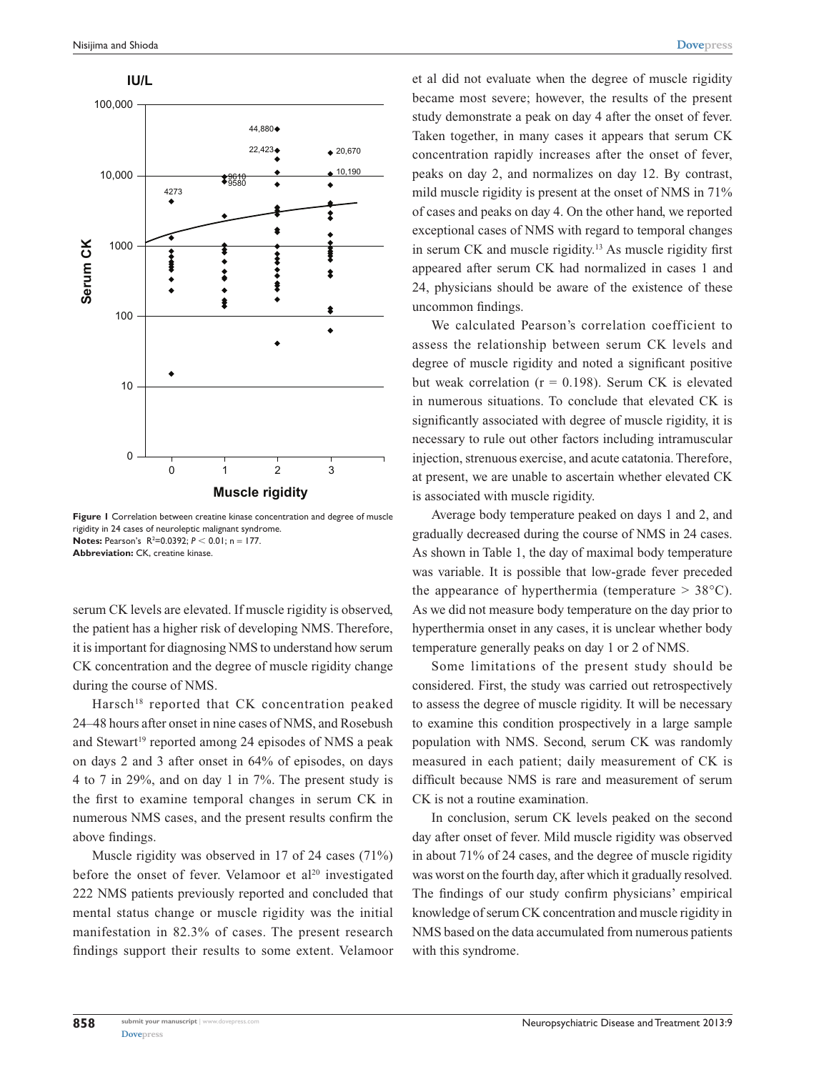

**Figure 1** Correlation between creatine kinase concentration and degree of muscle rigidity in 24 cases of neuroleptic malignant syndrome. **Notes:** Pearson's  $R^2 = 0.0392$ ;  $P < 0.01$ ; n = 177. **Abbreviation:** CK, creatine kinase.

serum CK levels are elevated. If muscle rigidity is observed, the patient has a higher risk of developing NMS. Therefore, it is important for diagnosing NMS to understand how serum CK concentration and the degree of muscle rigidity change during the course of NMS.

Harsch<sup>18</sup> reported that CK concentration peaked 24–48 hours after onset in nine cases of NMS, and Rosebush and Stewart<sup>19</sup> reported among 24 episodes of NMS a peak on days 2 and 3 after onset in 64% of episodes, on days 4 to 7 in 29%, and on day 1 in 7%. The present study is the first to examine temporal changes in serum CK in numerous NMS cases, and the present results confirm the above findings.

Muscle rigidity was observed in 17 of 24 cases (71%) before the onset of fever. Velamoor et  $al^{20}$  investigated 222 NMS patients previously reported and concluded that mental status change or muscle rigidity was the initial manifestation in 82.3% of cases. The present research findings support their results to some extent. Velamoor et al did not evaluate when the degree of muscle rigidity became most severe; however, the results of the present study demonstrate a peak on day 4 after the onset of fever. Taken together, in many cases it appears that serum CK concentration rapidly increases after the onset of fever, peaks on day 2, and normalizes on day 12. By contrast, mild muscle rigidity is present at the onset of NMS in 71% of cases and peaks on day 4. On the other hand, we reported exceptional cases of NMS with regard to temporal changes in serum CK and muscle rigidity.13 As muscle rigidity first appeared after serum CK had normalized in cases 1 and 24, physicians should be aware of the existence of these uncommon findings.

We calculated Pearson's correlation coefficient to assess the relationship between serum CK levels and degree of muscle rigidity and noted a significant positive but weak correlation ( $r = 0.198$ ). Serum CK is elevated in numerous situations. To conclude that elevated CK is significantly associated with degree of muscle rigidity, it is necessary to rule out other factors including intramuscular injection, strenuous exercise, and acute catatonia. Therefore, at present, we are unable to ascertain whether elevated CK is associated with muscle rigidity.

Average body temperature peaked on days 1 and 2, and gradually decreased during the course of NMS in 24 cases. As shown in Table 1, the day of maximal body temperature was variable. It is possible that low-grade fever preceded the appearance of hyperthermia (temperature  $> 38^{\circ}$ C). As we did not measure body temperature on the day prior to hyperthermia onset in any cases, it is unclear whether body temperature generally peaks on day 1 or 2 of NMS.

Some limitations of the present study should be considered. First, the study was carried out retrospectively to assess the degree of muscle rigidity. It will be necessary to examine this condition prospectively in a large sample population with NMS. Second, serum CK was randomly measured in each patient; daily measurement of CK is difficult because NMS is rare and measurement of serum CK is not a routine examination.

In conclusion, serum CK levels peaked on the second day after onset of fever. Mild muscle rigidity was observed in about 71% of 24 cases, and the degree of muscle rigidity was worst on the fourth day, after which it gradually resolved. The findings of our study confirm physicians' empirical knowledge of serum CK concentration and muscle rigidity in NMS based on the data accumulated from numerous patients with this syndrome.